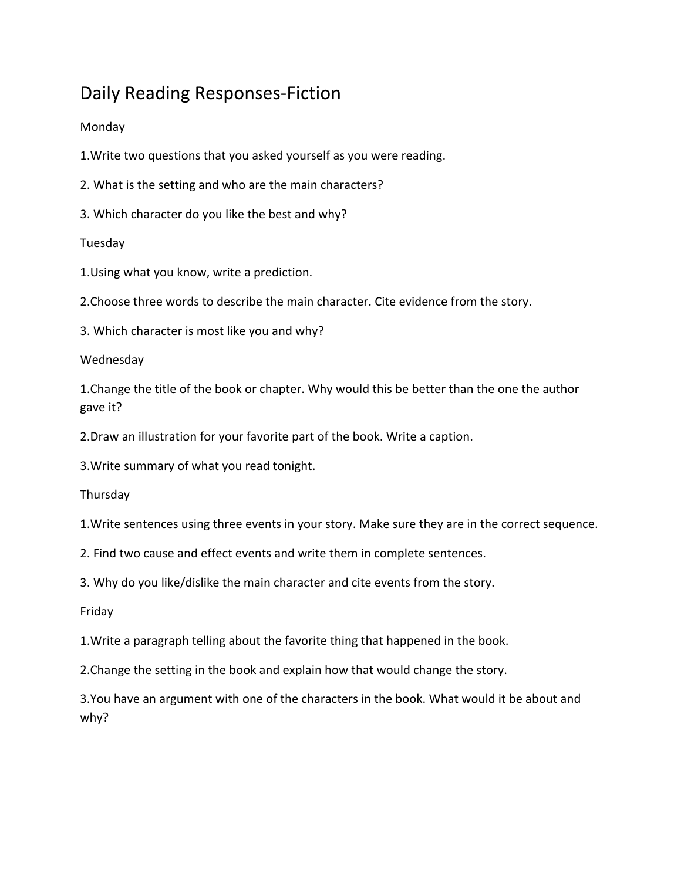# Daily Reading Responses-Fiction

## Monday

1.Write two questions that you asked yourself as you were reading.

2. What is the setting and who are the main characters?

3. Which character do you like the best and why?

## Tuesday

1.Using what you know, write a prediction.

2.Choose three words to describe the main character. Cite evidence from the story.

3. Which character is most like you and why?

### Wednesday

1.Change the title of the book or chapter. Why would this be better than the one the author gave it?

2.Draw an illustration for your favorite part of the book. Write a caption.

3.Write summary of what you read tonight.

**Thursday** 

1.Write sentences using three events in your story. Make sure they are in the correct sequence.

2. Find two cause and effect events and write them in complete sentences.

3. Why do you like/dislike the main character and cite events from the story.

#### Friday

1.Write a paragraph telling about the favorite thing that happened in the book.

2.Change the setting in the book and explain how that would change the story.

3.You have an argument with one of the characters in the book. What would it be about and why?